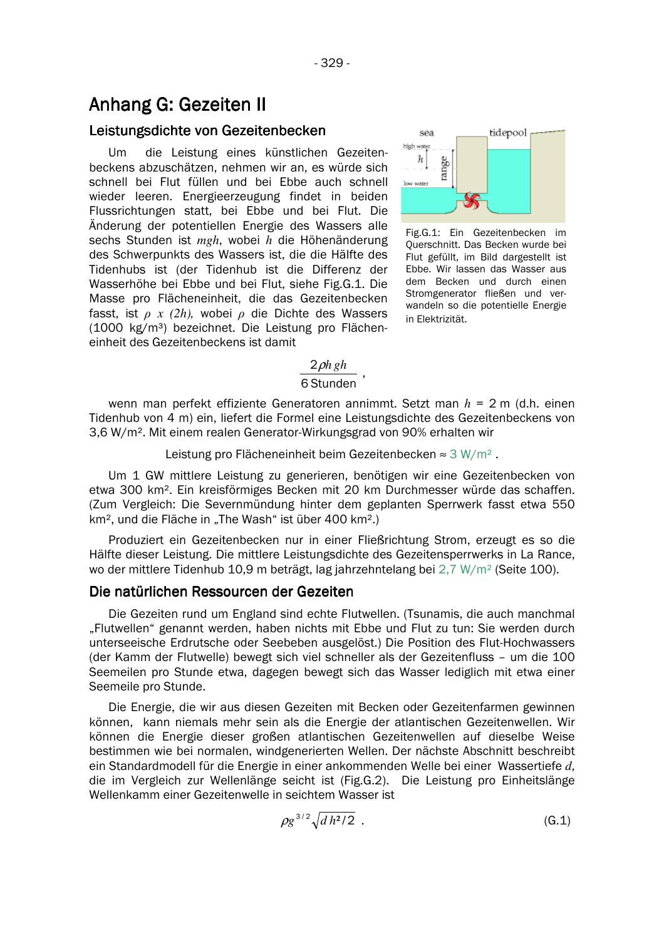# **Anhang G: Gezeiten II**

### Leistungsdichte von Gezeitenbecken

U<sub>m</sub> die Leistung eines künstlichen Gezeitenbeckens abzuschätzen, nehmen wir an, es würde sich schnell bei Flut füllen und bei Ebbe auch schnell wieder leeren. Energieerzeugung findet in beiden Flussrichtungen statt, bei Ebbe und bei Flut. Die Änderung der potentiellen Energie des Wassers alle sechs Stunden ist *mgh*, wobei h die Höhenänderung des Schwerpunkts des Wassers ist, die die Hälfte des Tidenhubs ist (der Tidenhub ist die Differenz der Wasserhöhe bei Ebbe und bei Flut, siehe Fig.G.1. Die Masse pro Flächeneinheit, die das Gezeitenbecken fasst, ist  $\rho$  x (2h), wobei  $\rho$  die Dichte des Wassers (1000 kg/m<sup>3</sup>) bezeichnet. Die Leistung pro Flächeneinheit des Gezeitenbeckens ist damit



Fig.G.1: Ein Gezeitenbecken im Querschnitt. Das Becken wurde bei Flut gefüllt, im Bild dargestellt ist Ebbe. Wir lassen das Wasser aus dem Becken und durch einen Stromgenerator fließen und verwandeln so die potentielle Energie in Elektrizität.

# $2 \rho h g h$

# 6 Stunden

wenn man perfekt effiziente Generatoren annimmt. Setzt man  $h = 2$  m (d.h. einen Tidenhub von 4 m) ein, liefert die Formel eine Leistungsdichte des Gezeitenbeckens von 3,6 W/m<sup>2</sup>. Mit einem realen Generator-Wirkungsgrad von 90% erhalten wir

Leistung pro Flächeneinheit beim Gezeitenbecken  $\approx 3 \text{ W/m}^2$ .

Um 1 GW mittlere Leistung zu generieren, benötigen wir eine Gezeitenbecken von etwa 300 km<sup>2</sup>. Ein kreisförmiges Becken mit 20 km Durchmesser würde das schaffen. (Zum Vergleich: Die Severnmündung hinter dem geplanten Sperrwerk fasst etwa 550 km<sup>2</sup>, und die Fläche in "The Wash" ist über 400 km<sup>2</sup>.)

Produziert ein Gezeitenbecken nur in einer Fließrichtung Strom, erzeugt es so die Hälfte dieser Leistung. Die mittlere Leistungsdichte des Gezeitensperrwerks in La Rance, wo der mittlere Tidenhub 10.9 m beträgt, lag jahrzehntelang bei  $2.7 W/m^2$  (Seite 100).

## Die natürlichen Ressourcen der Gezeiten

Die Gezeiten rund um England sind echte Flutwellen. (Tsunamis, die auch manchmal "Flutwellen" genannt werden, haben nichts mit Ebbe und Flut zu tun: Sie werden durch unterseeische Erdrutsche oder Seebeben ausgelöst.) Die Position des Flut-Hochwassers (der Kamm der Flutwelle) bewegt sich viel schneller als der Gezeitenfluss - um die 100 Seemeilen pro Stunde etwa, dagegen bewegt sich das Wasser lediglich mit etwa einer Seemeile pro Stunde.

Die Energie, die wir aus diesen Gezeiten mit Becken oder Gezeitenfarmen gewinnen können, kann niemals mehr sein als die Energie der atlantischen Gezeitenwellen. Wir können die Energie dieser großen atlantischen Gezeitenwellen auf dieselbe Weise bestimmen wie bei normalen, windgenerierten Wellen. Der nächste Abschnitt beschreibt ein Standardmodell für die Energie in einer ankommenden Welle bei einer Wassertiefe d. die im Vergleich zur Wellenlänge seicht ist (Fig.G.2). Die Leistung pro Einheitslänge Wellenkamm einer Gezeitenwelle in seichtem Wasser ist

$$
\rho g^{3/2} \sqrt{d h^2 / 2} \tag{G.1}
$$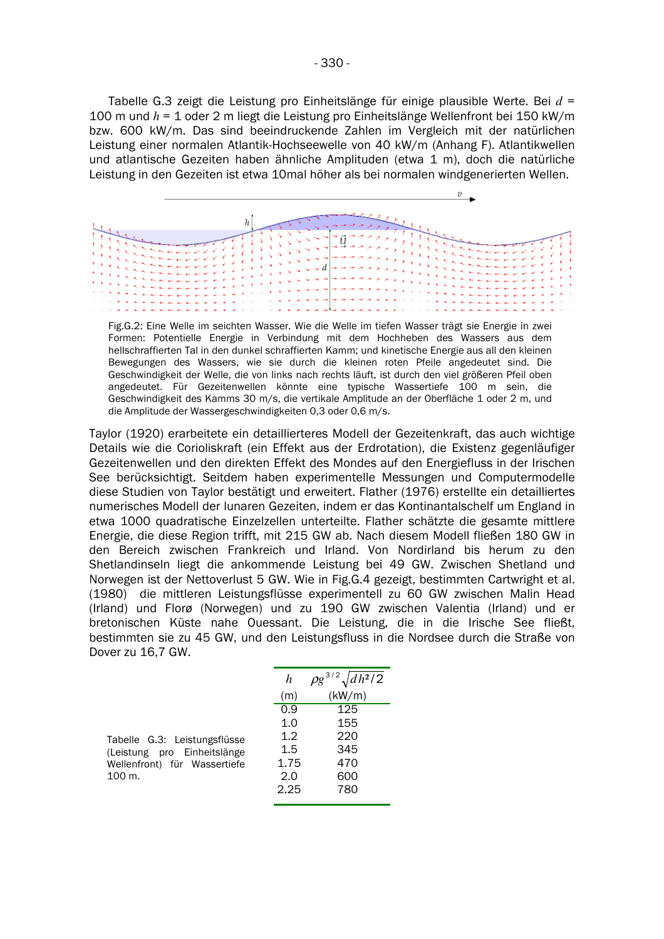Tabelle G.3 zeigt die Leistung pro Einheitslänge für einige plausible Werte. Bei  $d =$ 100 m und  $h = 1$  oder 2 m liegt die Leistung pro Einheitslänge Wellenfront bei 150 kW/m bzw. 600 kW/m. Das sind beeindruckende Zahlen im Vergleich mit der natürlichen Leistung einer normalen Atlantik-Hochseewelle von 40 kW/m (Anhang F). Atlantikwellen und atlantische Gezeiten haben ähnliche Amplituden (etwa 1 m), doch die natürliche Leistung in den Gezeiten ist etwa 10mal höher als bei normalen windgenerierten Wellen.



Fig. G. 2: Eine Welle im seichten Wasser. Wie die Welle im tiefen Wasser trägt sie Energie in zwei Formen: Potentielle Energie in Verbindung mit dem Hochheben des Wassers aus dem hellschraffierten Tal in den dunkel schraffierten Kamm: und kinetische Energie aus all den kleinen Bewegungen des Wassers, wie sie durch die kleinen roten Pfeile angedeutet sind. Die Geschwindigkeit der Welle, die von links nach rechts läuft, ist durch den viel größeren Pfeil oben angedeutet. Für Gezeitenwellen könnte eine typische Wassertiefe 100 m sein, die Geschwindigkeit des Kamms 30 m/s, die vertikale Amplitude an der Oberfläche 1 oder 2 m. und die Amplitude der Wassergeschwindigkeiten 0,3 oder 0,6 m/s.

Taylor (1920) erarbeitete ein detaillierteres Modell der Gezeitenkraft, das auch wichtige Details wie die Corioliskraft (ein Effekt aus der Erdrotation), die Existenz gegenläufiger Gezeitenwellen und den direkten Effekt des Mondes auf den Energiefluss in der Irischen See berücksichtigt. Seitdem haben experimentelle Messungen und Computermodelle diese Studien von Taylor bestätigt und erweitert. Flather (1976) erstellte ein detailliertes numerisches Modell der lunaren Gezeiten, indem er das Kontinantalschelf um England in etwa 1000 guadratische Einzelzellen unterteilte. Flather schätzte die gesamte mittlere Energie, die diese Region trifft, mit 215 GW ab. Nach diesem Modell fließen 180 GW in den Bereich zwischen Frankreich und Irland. Von Nordirland bis herum zu den Shetlandinseln liegt die ankommende Leistung bei 49 GW. Zwischen Shetland und Norwegen ist der Nettoverlust 5 GW. Wie in Fig.G.4 gezeigt, bestimmten Cartwright et al. (1980) die mittleren Leistungsflüsse experimentell zu 60 GW zwischen Malin Head (Irland) und Florø (Norwegen) und zu 190 GW zwischen Valentia (Irland) und er bretonischen Küste nahe Ouessant. Die Leistung, die in die Irische See fließt, bestimmten sie zu 45 GW, und den Leistungsfluss in die Nordsee durch die Straße von Dover zu 16,7 GW.

| Tabelle G.3: Leistungsflüsse |  |  |  |  |  |
|------------------------------|--|--|--|--|--|
| (Leistung pro Einheitslänge  |  |  |  |  |  |
| Wellenfront) für Wassertiefe |  |  |  |  |  |
| 100 m.                       |  |  |  |  |  |

| h    | $\rho g^{3/2} \sqrt{dh^2/2}$ |
|------|------------------------------|
| (m)  | (kW/m)                       |
| 0.9  | 125                          |
| 1.0  | 155                          |
| 1.2  | 220                          |
| 1.5  | 345                          |
| 1.75 | 470                          |
| 2.0  | 600                          |
| 2.25 | 780                          |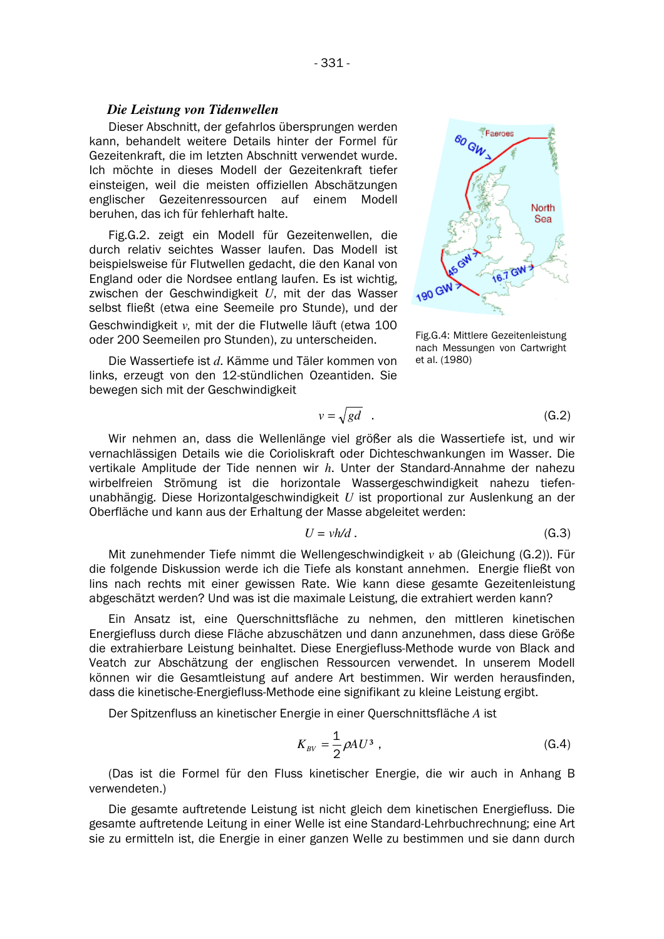#### Die Leistung von Tidenwellen

Dieser Abschnitt, der gefahrlos übersprungen werden kann, behandelt weitere Details hinter der Formel für Gezeitenkraft, die im letzten Abschnitt verwendet wurde. Ich möchte in dieses Modell der Gezeitenkraft tiefer einsteigen, weil die meisten offiziellen Abschätzungen englischer Gezeitenressourcen auf einem Modell beruhen, das ich für fehlerhaft halte.

Fig.G.2. zeigt ein Modell für Gezeitenwellen, die durch relativ seichtes Wasser laufen. Das Modell ist beispielsweise für Flutwellen gedacht, die den Kanal von England oder die Nordsee entlang laufen. Es ist wichtig. zwischen der Geschwindigkeit U, mit der das Wasser selbst fließt (etwa eine Seemeile pro Stunde), und der Geschwindigkeit v. mit der die Flutwelle läuft (etwa 100 oder 200 Seemeilen pro Stunden), zu unterscheiden.

Die Wassertiefe ist d. Kämme und Täler kommen von links, erzeugt von den 12-stündlichen Ozeantiden. Sie bewegen sich mit der Geschwindigkeit



Fig.G.4: Mittlere Gezeitenleistung nach Messungen von Cartwright et al. (1980)

$$
v = \sqrt{gd} \quad . \tag{G.2}
$$

Wir nehmen an, dass die Wellenlänge viel größer als die Wassertiefe ist, und wir vernachlässigen Details wie die Corioliskraft oder Dichteschwankungen im Wasser. Die vertikale Amplitude der Tide nennen wir h. Unter der Standard-Annahme der nahezu wirbelfreien Strömung ist die horizontale Wassergeschwindigkeit nahezu tiefenunabhängig. Diese Horizontalgeschwindigkeit  $U$  ist proportional zur Auslenkung an der Oberfläche und kann aus der Erhaltung der Masse abgeleitet werden:

$$
U = v h/d. \tag{G.3}
$$

Mit zunehmender Tiefe nimmt die Wellengeschwindigkeit  $v$  ab (Gleichung (G.2)). Für die folgende Diskussion werde ich die Tiefe als konstant annehmen. Energie fließt von lins nach rechts mit einer gewissen Rate. Wie kann diese gesamte Gezeitenleistung abgeschätzt werden? Und was ist die maximale Leistung, die extrahiert werden kann?

Ein Ansatz ist, eine Querschnittsfläche zu nehmen, den mittleren kinetischen Energiefluss durch diese Fläche abzuschätzen und dann anzunehmen, dass diese Größe die extrahierbare Leistung beinhaltet. Diese Energiefluss-Methode wurde von Black and Veatch zur Abschätzung der englischen Ressourcen verwendet. In unserem Modell können wir die Gesamtleistung auf andere Art bestimmen. Wir werden herausfinden. dass die kinetische-Energiefluss-Methode eine signifikant zu kleine Leistung ergibt.

Der Spitzenfluss an kinetischer Energie in einer Querschnittsfläche A ist

$$
K_{BV} = \frac{1}{2} \rho A U^3 \tag{G.4}
$$

(Das ist die Formel für den Fluss kinetischer Energie, die wir auch in Anhang B verwendeten.)

Die gesamte auftretende Leistung ist nicht gleich dem kinetischen Energiefluss. Die gesamte auftretende Leitung in einer Welle ist eine Standard-Lehrbuchrechnung; eine Art sie zu ermitteln ist, die Energie in einer ganzen Welle zu bestimmen und sie dann durch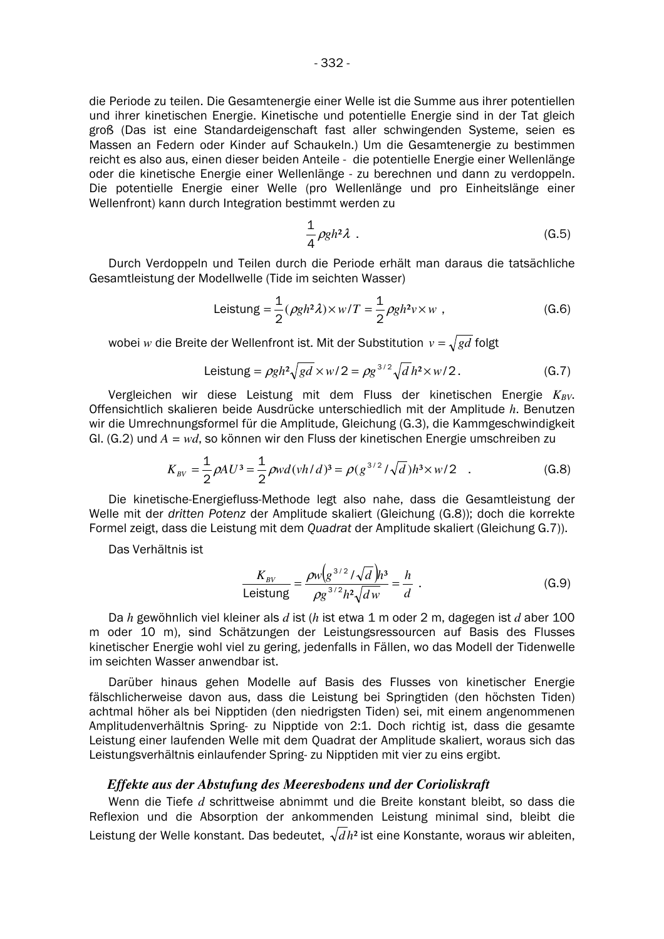die Periode zu teilen. Die Gesamtenergie einer Welle ist die Summe aus ihrer potentiellen und ihrer kinetischen Energie. Kinetische und potentielle Energie sind in der Tat gleich groß (Das ist eine Standardeigenschaft fast aller schwingenden Systeme, seien es Massen an Federn oder Kinder auf Schaukeln.) Um die Gesamtenergie zu bestimmen reicht es also aus, einen dieser beiden Anteile - die potentielle Energie einer Wellenlänge oder die kinetische Energie einer Wellenlänge - zu berechnen und dann zu verdoppeln. Die potentielle Energie einer Welle (pro Wellenlänge und pro Einheitslänge einer Wellenfront) kann durch Integration bestimmt werden zu

$$
\frac{1}{4}\rho g h^2 \lambda \tag{G.5}
$$

Durch Verdoppeln und Teilen durch die Periode erhält man daraus die tatsächliche Gesamtleistung der Modellwelle (Tide im seichten Wasser)

Leistung = 
$$
\frac{1}{2} (\rho g h^2 \lambda) \times w/T = \frac{1}{2} \rho g h^2 v \times w
$$
, (G.6)

wobei  $w$  die Breite der Wellenfront ist. Mit der Substitution  $\,v$  =  $\sqrt{g}d$  folgt

Leistung = 
$$
\rho gh^2 \sqrt{gd} \times w/2 = \rho g^{3/2} \sqrt{d} h^2 \times w/2
$$
. (G.7)

Vergleichen wir diese Leistung mit dem Fluss der kinetischen Energie  $K_{BV}$ . Offensichtlich skalieren beide Ausdrücke unterschiedlich mit der Amplitude h. Benutzen wir die Umrechnungsformel für die Amplitude, Gleichung (G.3), die Kammgeschwindigkeit Gl. (G.2) und  $A = wd$ , so können wir den Fluss der kinetischen Energie umschreiben zu

$$
K_{BV} = \frac{1}{2} \rho A U^3 = \frac{1}{2} \rho w d (v h / d)^3 = \rho (g^{3/2} / \sqrt{d}) h^3 \times w / 2 \quad . \tag{G.8}
$$

Die kinetische-Energiefluss-Methode legt also nahe, dass die Gesamtleistung der Welle mit der dritten Potenz der Amplitude skaliert (Gleichung (G.8)); doch die korrekte Formel zeigt, dass die Leistung mit dem Quadrat der Amplitude skaliert (Gleichung G.7)).

Das Verhältnis ist

$$
\frac{K_{BV}}{\text{Leistung}} = \frac{\rho w (g^{3/2} / \sqrt{d}) h^3}{\rho g^{3/2} h^2 \sqrt{d w}} = \frac{h}{d} \tag{G.9}
$$

Da  $h$  gewöhnlich viel kleiner als  $d$  ist ( $h$  ist etwa 1 m oder 2 m, dagegen ist  $d$  aber 100 m oder 10 m), sind Schätzungen der Leistungsressourcen auf Basis des Flusses kinetischer Energie wohl viel zu gering, jedenfalls in Fällen, wo das Modell der Tidenwelle im seichten Wasser anwendbar ist.

Darüber hinaus gehen Modelle auf Basis des Flusses von kinetischer Energie fälschlicherweise davon aus, dass die Leistung bei Springtiden (den höchsten Tiden) achtmal höher als bei Nipptiden (den niedrigsten Tiden) sei, mit einem angenommenen Amplitudenverhältnis Spring- zu Nipptide von 2:1. Doch richtig ist, dass die gesamte Leistung einer laufenden Welle mit dem Quadrat der Amplitude skaliert, woraus sich das Leistungsverhältnis einlaufender Spring- zu Nipptiden mit vier zu eins ergibt.

#### *Effekte aus der Abstufung des Meeresbodens und der Corioliskraft*

Wenn die Tiefe  $d$  schrittweise abnimmt und die Breite konstant bleibt, so dass die Reflexion und die Absorption der ankommenden Leistung minimal sind, bleibt die Leistung der Welle konstant. Das bedeutet,  $\sqrt{d}h^2$  ist eine Konstante, woraus wir ableiten,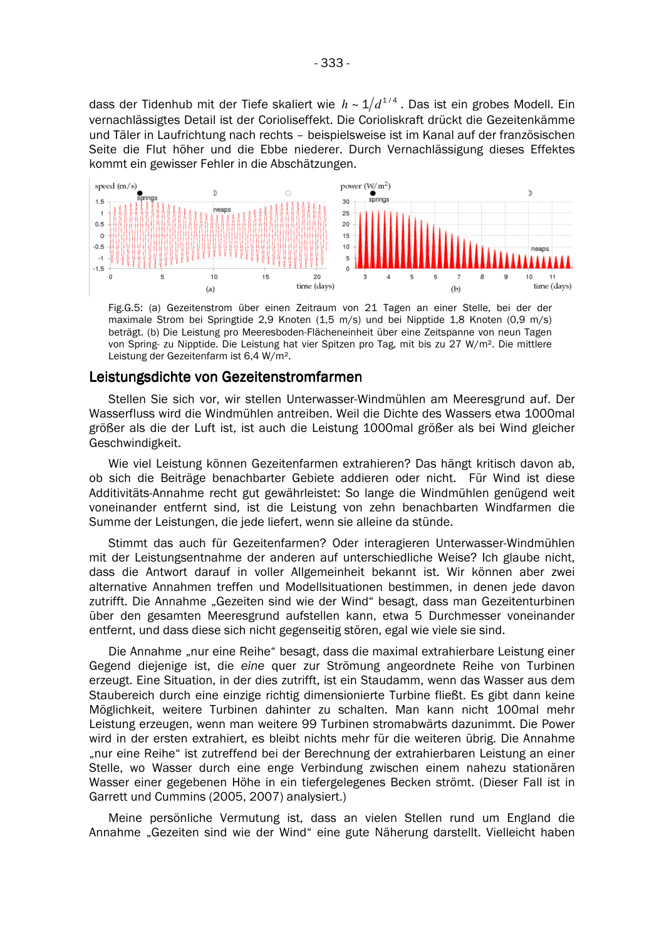$-333-$ 

dass der Tidenhub mit der Tiefe skaliert wie  $h \sim 1/d^{1/4}$ . Das ist ein grobes Modell. Ein vernachlässigtes Detail ist der Corioliseffekt. Die Corioliskraft drückt die Gezeitenkämme und Täler in Laufrichtung nach rechts - beispielsweise ist im Kanal auf der französischen Seite die Flut höher und die Ebbe niederer. Durch Vernachlässigung dieses Effektes kommt ein gewisser Fehler in die Abschätzungen.



Fig.G.5: (a) Gezeitenstrom über einen Zeitraum von 21 Tagen an einer Stelle, bei der der maximale Strom bei Springtide 2,9 Knoten (1,5 m/s) und bei Nipptide 1,8 Knoten (0,9 m/s) beträgt. (b) Die Leistung pro Meeresboden-Flächeneinheit über eine Zeitspanne von neun Tagen von Spring- zu Nipptide. Die Leistung hat vier Spitzen pro Tag, mit bis zu 27 W/m<sup>2</sup>. Die mittlere Leistung der Gezeitenfarm ist 6,4 W/m<sup>2</sup>.

## Leistungsdichte von Gezeitenstromfarmen

Stellen Sie sich vor, wir stellen Unterwasser-Windmühlen am Meeresgrund auf. Der Wasserfluss wird die Windmühlen antreiben. Weil die Dichte des Wassers etwa 1000mal größer als die der Luft ist, ist auch die Leistung 1000mal größer als bei Wind gleicher Geschwindigkeit.

Wie viel Leistung können Gezeitenfarmen extrahieren? Das hängt kritisch davon ab, ob sich die Beiträge benachbarter Gebiete addieren oder nicht. Für Wind ist diese Additivitäts-Annahme recht gut gewährleistet: So lange die Windmühlen genügend weit voneinander entfernt sind, ist die Leistung von zehn benachbarten Windfarmen die Summe der Leistungen, die jede liefert, wenn sie alleine da stünde.

Stimmt das auch für Gezeitenfarmen? Oder interagieren Unterwasser-Windmühlen mit der Leistungsentnahme der anderen auf unterschiedliche Weise? Ich glaube nicht, dass die Antwort darauf in voller Allgemeinheit bekannt ist. Wir können aber zwei alternative Annahmen treffen und Modellsituationen bestimmen, in denen jede davon zutrifft. Die Annahme "Gezeiten sind wie der Wind" besagt, dass man Gezeitenturbinen über den gesamten Meeresgrund aufstellen kann, etwa 5 Durchmesser voneinander entfernt, und dass diese sich nicht gegenseitig stören, egal wie viele sie sind.

Die Annahme "nur eine Reihe" besagt, dass die maximal extrahierbare Leistung einer Gegend diejenige ist, die eine auer zur Strömung angeordnete Reihe von Turbinen erzeugt. Eine Situation, in der dies zutrifft, ist ein Staudamm, wenn das Wasser aus dem Staubereich durch eine einzige richtig dimensionierte Turbine fließt. Es gibt dann keine Möglichkeit, weitere Turbinen dahinter zu schalten. Man kann nicht 100mal mehr Leistung erzeugen, wenn man weitere 99 Turbinen stromabwärts dazunimmt. Die Power wird in der ersten extrahiert, es bleibt nichts mehr für die weiteren übrig. Die Annahme "nur eine Reihe" ist zutreffend bei der Berechnung der extrahierbaren Leistung an einer Stelle, wo Wasser durch eine enge Verbindung zwischen einem nahezu stationären Wasser einer gegebenen Höhe in ein tiefergelegenes Becken strömt. (Dieser Fall ist in Garrett und Cummins (2005, 2007) analysiert.)

Meine persönliche Vermutung ist, dass an vielen Stellen rund um England die Annahme "Gezeiten sind wie der Wind" eine gute Näherung darstellt. Vielleicht haben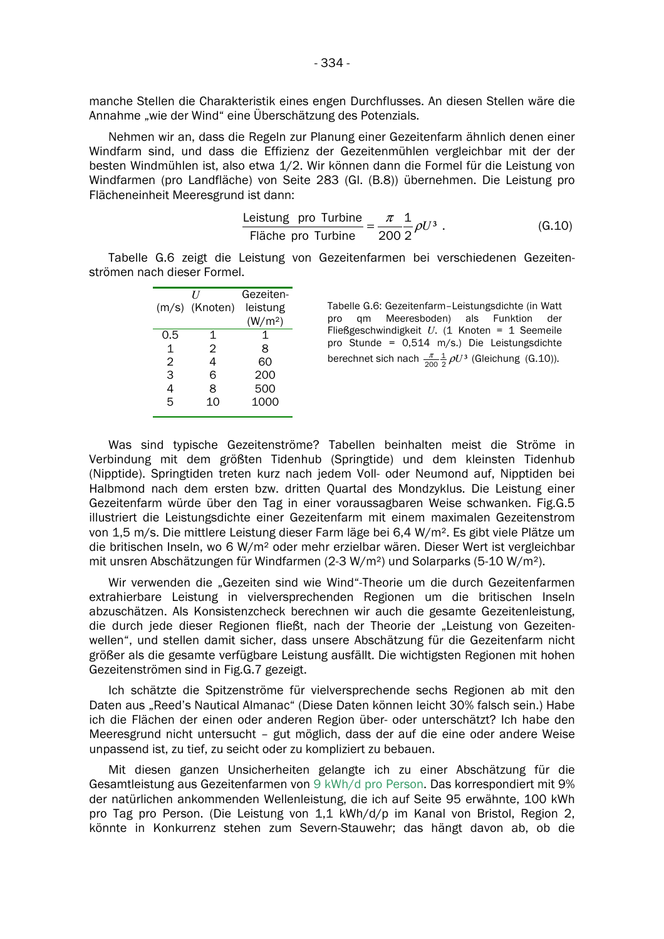manche Stellen die Charakteristik eines engen Durchflusses. An diesen Stellen wäre die Annahme "wie der Wind" eine Überschätzung des Potenzials.

Nehmen wir an, dass die Regeln zur Planung einer Gezeitenfarm ähnlich denen einer Windfarm sind, und dass die Effizienz der Gezeitenmühlen vergleichbar mit der der besten Windmühlen ist, also etwa 1/2. Wir können dann die Formel für die Leistung von Windfarmen (pro Landfläche) von Seite 283 (Gl. (B.8)) übernehmen. Die Leistung pro Flächeneinheit Meeresgrund ist dann:

$$
\frac{\text{Leistung}}{\text{Fläche pro Turbine}} = \frac{\pi}{200} \frac{1}{2} \rho U^3 \,. \tag{G.10}
$$

Tabelle G.6 zeigt die Leistung von Gezeitenfarmen bei verschiedenen Gezeitenströmen nach dieser Formel.

|     | U              | Gezeiten-           |
|-----|----------------|---------------------|
|     | (m/s) (Knoten) | leistung            |
|     |                | (W/m <sup>2</sup> ) |
| 0.5 | 1              | 1                   |
| 1   | 2              | 8                   |
| 2   | 4              | 60                  |
| 3   | 6              | 200                 |
| 4   | 8              | 500                 |
| 5   | 10             | 1000                |
|     |                |                     |

Tabelle G.6: Gezeitenfarm-Leistungsdichte (in Watt pro qm Meeresboden) als Funktion der Fließgeschwindigkeit  $U$ . (1 Knoten = 1 Seemeile pro Stunde = 0,514 m/s.) Die Leistungsdichte berechnet sich nach  $\frac{\pi}{200} \frac{1}{2} \rho U^3$  (Gleichung (G.10)).

Was sind typische Gezeitenströme? Tabellen beinhalten meist die Ströme in Verbindung mit dem größten Tidenhub (Springtide) und dem kleinsten Tidenhub (Nipptide). Springtiden treten kurz nach jedem Voll- oder Neumond auf, Nipptiden bei Halbmond nach dem ersten bzw. dritten Quartal des Mondzyklus. Die Leistung einer Gezeitenfarm würde über den Tag in einer voraussagbaren Weise schwanken. Fig.G.5 illustriert die Leistungsdichte einer Gezeitenfarm mit einem maximalen Gezeitenstrom von 1,5 m/s. Die mittlere Leistung dieser Farm läge bei 6,4 W/m<sup>2</sup>. Es gibt viele Plätze um die britischen Inseln, wo 6 W/m<sup>2</sup> oder mehr erzielbar wären. Dieser Wert ist vergleichbar mit unsren Abschätzungen für Windfarmen (2-3 W/m<sup>2</sup>) und Solarparks (5-10 W/m<sup>2</sup>).

Wir verwenden die "Gezeiten sind wie Wind"-Theorie um die durch Gezeitenfarmen extrahierbare Leistung in vielversprechenden Regionen um die britischen Inseln abzuschätzen. Als Konsistenzcheck berechnen wir auch die gesamte Gezeitenleistung, die durch jede dieser Regionen fließt, nach der Theorie der "Leistung von Gezeitenwellen", und stellen damit sicher, dass unsere Abschätzung für die Gezeitenfarm nicht größer als die gesamte verfügbare Leistung ausfällt. Die wichtigsten Regionen mit hohen Gezeitenströmen sind in Fig.G.7 gezeigt.

Ich schätzte die Spitzenströme für vielversprechende sechs Regionen ab mit den Daten aus "Reed's Nautical Almanac" (Diese Daten können leicht 30% falsch sein.) Habe ich die Flächen der einen oder anderen Region über- oder unterschätzt? Ich habe den Meeresgrund nicht untersucht - gut möglich, dass der auf die eine oder andere Weise unpassend ist, zu tief, zu seicht oder zu kompliziert zu bebauen.

Mit diesen ganzen Unsicherheiten gelangte ich zu einer Abschätzung für die Gesamtleistung aus Gezeitenfarmen von 9 kWh/d pro Person. Das korrespondiert mit 9% der natürlichen ankommenden Wellenleistung, die ich auf Seite 95 erwähnte, 100 kWh pro Tag pro Person. (Die Leistung von 1,1 kWh/d/p im Kanal von Bristol, Region 2, könnte in Konkurrenz stehen zum Severn-Stauwehr; das hängt davon ab, ob die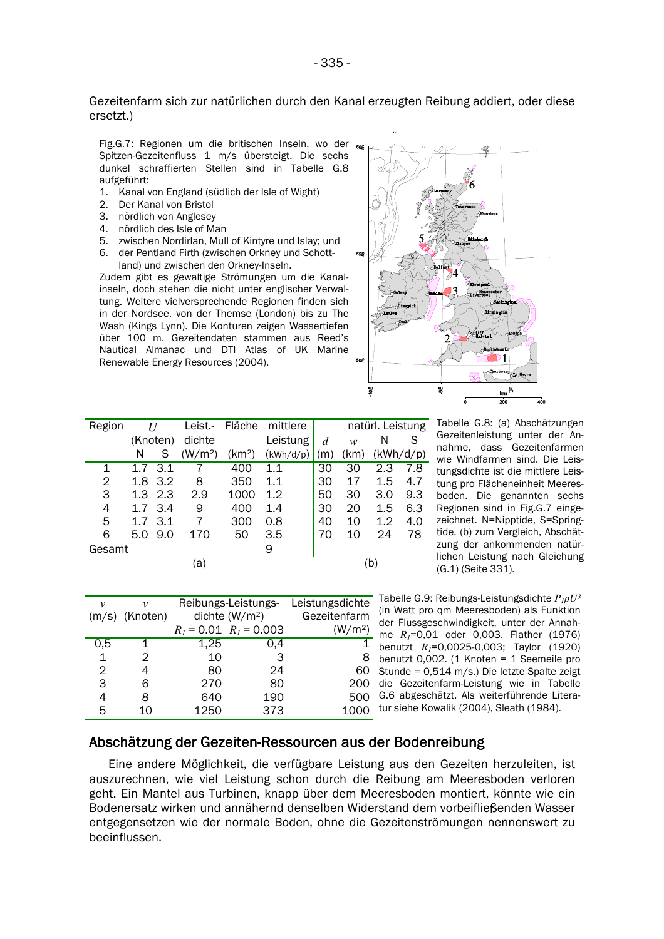#### Gezeitenfarm sich zur natürlichen durch den Kanal erzeugten Reibung addiert, oder diese ersetzt.)

Fig.G.7: Regionen um die britischen Inseln, wo der Spitzen-Gezeitenfluss 1 m/s übersteigt. Die sechs dunkel schraffierten Stellen sind in Tabelle G.8 aufgeführt:

- 1. Kanal von England (südlich der Isle of Wight)
- 2. Der Kanal von Bristol
- 3. nördlich von Anglesev
- 4. nördlich des Isle of Man
- 5. zwischen Nordirlan, Mull of Kintyre und Islay; und
- 6. der Pentland Firth (zwischen Orkney und Schottland) und zwischen den Orkney-Inseln.

Zudem gibt es gewaltige Strömungen um die Kanalinseln, doch stehen die nicht unter englischer Verwaltung. Weitere vielversprechende Regionen finden sich in der Nordsee, von der Themse (London) bis zu The Wash (Kings Lynn). Die Konturen zeigen Wassertiefen über 100 m. Gezeitendaten stammen aus Reed's Nautical Almanac und DTI Atlas of UK Marine Renewable Energy Resources (2004).



| Region |             |          | Leist -             | Fläche             | mittlere  |     |      | natürl. Leistung |     |
|--------|-------------|----------|---------------------|--------------------|-----------|-----|------|------------------|-----|
|        |             | (Knoten) | dichte              |                    | Leistung  | d   | w    | N                | S   |
|        | N           | S        | (W/m <sup>2</sup> ) | (km <sup>2</sup> ) | (kWh/d/p) | (m) | (km) | (kWh/d/p)        |     |
| 1      | $1.7 \t3.1$ |          |                     | 400                | $1.1\,$   | 30  | 30   | 2.3              | 7.8 |
| 2      | 1.8         | 3.2      | 8                   | 350                | 1.1       | 30  | 17   | 1.5              | 4.7 |
| 3      | 1.3         | 2.3      | 2.9                 | 1000               | 1.2       | 50  | 30   | 3.0              | 9.3 |
| 4      |             | 1.7 3.4  | 9                   | 400                | 1.4       | 30  | 20   | 1.5              | 6.3 |
| 5      | 1.7         | 3.1      | 7                   | 300                | 0.8       | 40  | 10   | $1.2\,$          | 4.0 |
| 6      | 5.0         | 9.0      | 170                 | 50                 | 3.5       | 70  | 10   | 24               | 78  |
| Gesamt |             |          |                     |                    | 9         |     |      |                  |     |
|        |             |          | a)                  |                    |           |     |      | (b`              |     |

| ν   | ν                |      |                            | Reibungs-Leistungs- Leistungsdichte |
|-----|------------------|------|----------------------------|-------------------------------------|
|     | $(m/s)$ (Knoten) |      | dichte $(W/m2)$            | Gezeitenfarm                        |
|     |                  |      | $R_1 = 0.01$ $R_1 = 0.003$ | (W/m <sup>2</sup> )                 |
| 0,5 |                  | 1,25 | 0.4                        |                                     |
| 1   | 2                | 10   | З                          | 8                                   |
| 2   |                  | 80   | 24                         | 60                                  |
| 3   | 6                | 270  | 80                         | 200                                 |
| 4   | 8                | 640  | 190                        | 500                                 |
| 5   |                  | 1250 | 373                        | 1000                                |

Tabelle G.8: (a) Abschätzungen Gezeitenleistung unter der Annahme, dass Gezeitenfarmen wie Windfarmen sind. Die Leistungsdichte ist die mittlere Leistung pro Flächeneinheit Meeresboden. Die genannten sechs Regionen sind in Fig.G.7 eingezeichnet. N=Nipptide. S=Springtide. (b) zum Vergleich. Abschätzung der ankommenden natür-- lichen Leistung nach Gleichung (G.1) (Seite 331).

Tabelle G.9: Reibungs-Leistungsdichte  $P_{1} \rho U^3$ (in Watt pro qm Meeresboden) als Funktion der Flussgeschwindigkeit, unter der Annahme  $R_i = 0.01$  oder 0,003. Flather (1976) benutzt  $R_1$ =0,0025-0,003; Taylor (1920) benutzt 0,002.  $(1$  Knoten = 1 Seemeile pro Stunde = 0,514 m/s.) Die letzte Spalte zeigt die Gezeitenfarm-Leistung wie in Tabelle G.6 abgeschätzt. Als weiterführende Literatur siehe Kowalik (2004), Sleath (1984).

# Abschätzung der Gezeiten-Ressourcen aus der Bodenreibung

Eine andere Möglichkeit, die verfügbare Leistung aus den Gezeiten herzuleiten, ist auszurechnen, wie viel Leistung schon durch die Reibung am Meeresboden verloren geht. Ein Mantel aus Turbinen, knapp über dem Meeresboden montiert, könnte wie ein Bodenersatz wirken und annähernd denselben Widerstand dem vorbeifließenden Wasser entgegensetzen wie der normale Boden, ohne die Gezeitenströmungen nennenswert zu beeinflussen.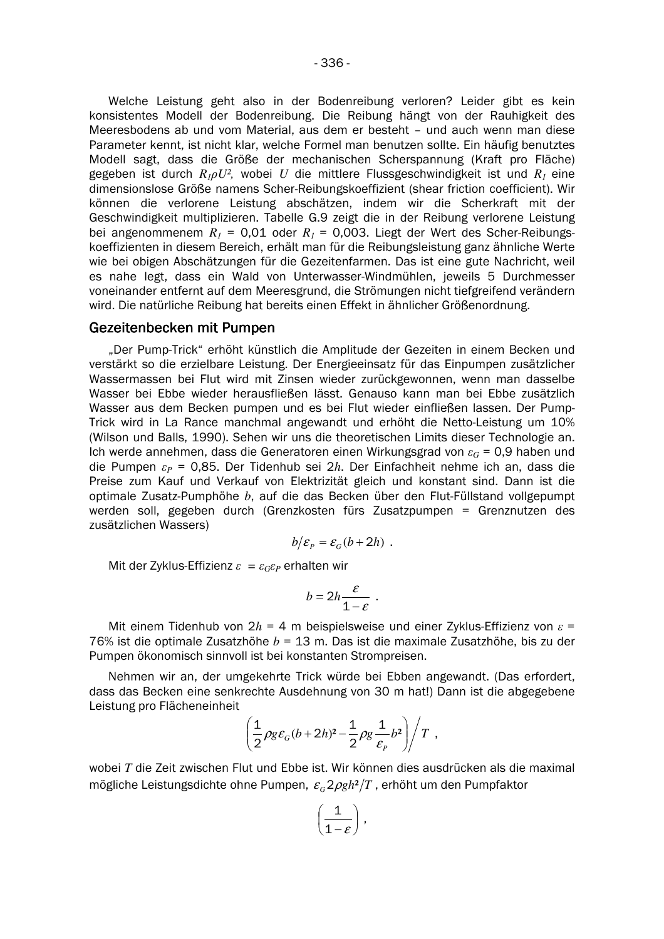Welche Leistung geht also in der Bodenreibung verloren? Leider gibt es kein konsistentes Modell der Bodenreibung. Die Reibung hängt von der Rauhigkeit des Meeresbodens ab und vom Material, aus dem er besteht - und auch wenn man diese Parameter kennt, ist nicht klar, welche Formel man benutzen sollte. Ein häufig benutztes Modell sagt, dass die Größe der mechanischen Scherspannung (Kraft pro Fläche) gegeben ist durch  $R_1 \rho U^2$ , wobei U die mittlere Flussgeschwindigkeit ist und  $R_1$  eine dimensionslose Größe namens Scher-Reibungskoeffizient (shear friction coefficient). Wir können die verlorene Leistung abschätzen, indem wir die Scherkraft mit der Geschwindigkeit multiplizieren. Tabelle G.9 zeigt die in der Reibung verlorene Leistung bei angenommenem  $R_1$  = 0,01 oder  $R_1$  = 0,003. Liegt der Wert des Scher-Reibungskoeffizienten in diesem Bereich, erhält man für die Reibungsleistung ganz ähnliche Werte wie bei obigen Abschätzungen für die Gezeitenfarmen. Das ist eine gute Nachricht, weil es nahe legt, dass ein Wald von Unterwasser-Windmühlen, jeweils 5 Durchmesser voneinander entfernt auf dem Meeresgrund, die Strömungen nicht tiefgreifend verändern wird. Die natürliche Reibung hat bereits einen Effekt in ähnlicher Größenordnung.

#### Gezeitenbecken mit Pumpen

"Der Pump-Trick" erhöht künstlich die Amplitude der Gezeiten in einem Becken und verstärkt so die erzielbare Leistung. Der Energieeinsatz für das Einpumpen zusätzlicher Wassermassen bei Flut wird mit Zinsen wieder zurückgewonnen, wenn man dasselbe Wasser bei Ebbe wieder herausfließen lässt. Genauso kann man bei Ebbe zusätzlich Wasser aus dem Becken pumpen und es bei Flut wieder einfließen lassen. Der Pump-Trick wird in La Rance manchmal angewandt und erhöht die Netto-Leistung um 10% (Wilson und Balls, 1990). Sehen wir uns die theoretischen Limits dieser Technologie an. Ich werde annehmen, dass die Generatoren einen Wirkungsgrad von  $\varepsilon_G$  = 0,9 haben und die Pumpen  $\varepsilon_P$  = 0,85. Der Tidenhub sei 2h. Der Einfachheit nehme ich an, dass die Preise zum Kauf und Verkauf von Elektrizität gleich und konstant sind. Dann ist die optimale Zusatz-Pumphöhe b, auf die das Becken über den Flut-Füllstand vollgepumpt werden soll, gegeben durch (Grenzkosten fürs Zusatzpumpen = Grenznutzen des zusätzlichen Wassers)

$$
b/\varepsilon_p = \varepsilon_c (b+2h)
$$
.

Mit der Zyklus-Effizienz  $\varepsilon = \varepsilon_G \varepsilon_P$  erhalten wir

$$
b=2h\frac{\varepsilon}{1-\varepsilon}.
$$

Mit einem Tidenhub von  $2h = 4$  m beispielsweise und einer Zyklus-Effizienz von  $\varepsilon =$ 76% ist die optimale Zusatzhöhe  $b = 13$  m. Das ist die maximale Zusatzhöhe, bis zu der Pumpen ökonomisch sinnvoll ist bei konstanten Strompreisen.

Nehmen wir an, der umgekehrte Trick würde bei Ebben angewandt. (Das erfordert, dass das Becken eine senkrechte Ausdehnung von 30 m hat!) Dann ist die abgegebene Leistung pro Flächeneinheit

$$
\left(\frac{1}{2}\rho g\varepsilon_G(b+2h)^2-\frac{1}{2}\rho g\frac{1}{\varepsilon_p}b^2\right)\bigg/T,
$$

wobei T die Zeit zwischen Flut und Ebbe ist. Wir können dies ausdrücken als die maximal mögliche Leistungsdichte ohne Pumpen,  $\varepsilon_c 2\rho g h^2/T$ , erhöht um den Pumpfaktor

$$
\left(\frac{1}{1-\varepsilon}\right),
$$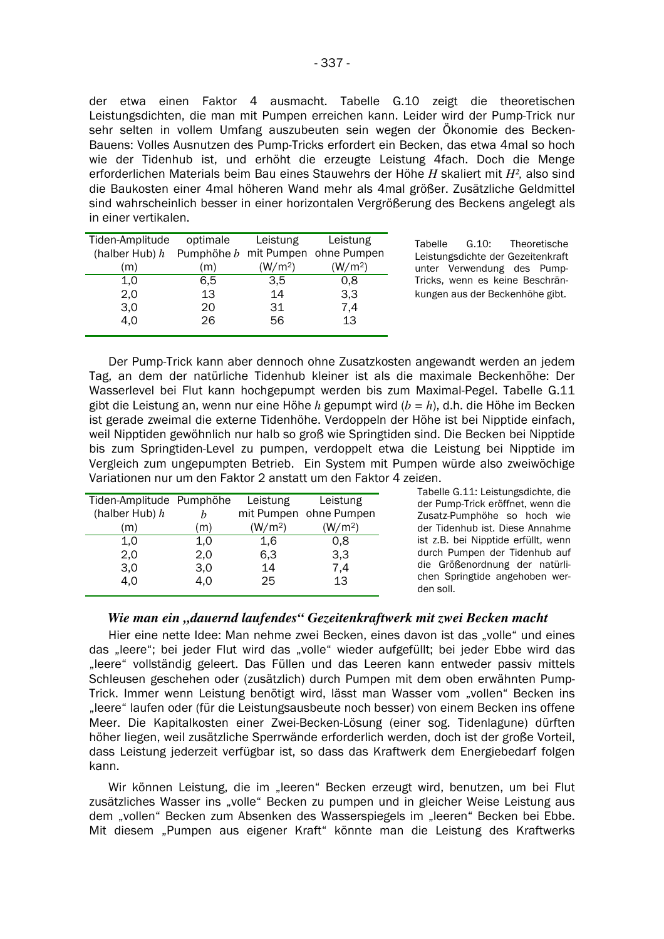der etwa einen Faktor 4 ausmacht. Tabelle G.10 zeigt die theoretischen Leistungsdichten, die man mit Pumpen erreichen kann. Leider wird der Pump-Trick nur sehr selten in vollem Umfang auszubeuten sein wegen der Ökonomie des Becken-Bauens: Volles Ausnutzen des Pump-Tricks erfordert ein Becken, das etwa 4mal so hoch wie der Tidenhub ist, und erhöht die erzeugte Leistung 4fach. Doch die Menge erforderlichen Materials beim Bau eines Stauwehrs der Höhe H skaliert mit  $H^2$ , also sind die Baukosten einer 4mal höheren Wand mehr als 4mal größer. Zusätzliche Geldmittel sind wahrscheinlich besser in einer horizontalen Vergrößerung des Beckens angelegt als in einer vertikalen.

| Tiden-Amplitude<br>optimale |                     | Leistung                                      |
|-----------------------------|---------------------|-----------------------------------------------|
|                             |                     |                                               |
| (m)                         | (W/m <sup>2</sup> ) | (W/m <sup>2</sup> )                           |
| 6,5                         | 3.5                 | 0,8                                           |
| 13                          | 14                  | 3,3                                           |
| 20                          | 31                  | 7,4                                           |
| 26                          | 56                  | 13                                            |
|                             |                     | Leistung<br>Pumphöhe b mit Pumpen ohne Pumpen |

Tabelle  $G.10:$ Theoretische Leistungsdichte der Gezeitenkraft unter Verwendung des Pump-Tricks, wenn es keine Beschränkungen aus der Beckenhöhe gibt.

Der Pump-Trick kann aber dennoch ohne Zusatzkosten angewandt werden an jedem Tag, an dem der natürliche Tidenhub kleiner ist als die maximale Beckenhöhe: Der Wasserlevel bei Flut kann hochgepumpt werden bis zum Maximal-Pegel. Tabelle G.11 gibt die Leistung an, wenn nur eine Höhe h gepumpt wird ( $b = h$ ), d.h. die Höhe im Becken ist gerade zweimal die externe Tidenhöhe. Verdoppeln der Höhe ist bei Nipptide einfach, weil Nipptiden gewöhnlich nur halb so groß wie Springtiden sind. Die Becken bei Nipptide bis zum Springtiden-Level zu pumpen, verdoppelt etwa die Leistung bei Nipptide im Vergleich zum ungepumpten Betrieb. Ein System mit Pumpen würde also zweiwöchige Variationen nur um den Faktor 2 anstatt um den Faktor 4 zeigen.

| Tiden-Amplitude Pumphöhe |     | Leistung            | Leistung               |
|--------------------------|-----|---------------------|------------------------|
| (halber Hub) $h$         |     |                     | mit Pumpen ohne Pumpen |
| (m)                      | (m) | (W/m <sup>2</sup> ) | (W/m <sup>2</sup> )    |
| 1.0                      | 1,0 | 1,6                 | 0.8                    |
| 2,0                      | 2,0 | 6,3                 | 3,3                    |
| 3,0                      | 3,0 | 14                  | 7,4                    |
| 4,0                      | 4.0 | 25                  | 13                     |

Tabelle G.11: Leistungsdichte, die der Pump-Trick eröffnet, wenn die Zusatz-Pumphöhe so hoch wie der Tidenhub ist. Diese Annahme ist z.B. bei Nipptide erfüllt, wenn durch Pumpen der Tidenhub auf die Größenordnung der natürlichen Springtide angehoben werden soll.

## Wie man ein "dauernd laufendes" Gezeitenkraftwerk mit zwei Becken macht

Hier eine nette Idee: Man nehme zwei Becken, eines davon ist das "volle" und eines das "leere"; bei jeder Flut wird das "volle" wieder aufgefüllt; bei jeder Ebbe wird das "leere" vollständig geleert. Das Füllen und das Leeren kann entweder passiv mittels Schleusen geschehen oder (zusätzlich) durch Pumpen mit dem oben erwähnten Pump-Trick. Immer wenn Leistung benötigt wird, lässt man Wasser vom "vollen" Becken ins "leere" laufen oder (für die Leistungsausbeute noch besser) von einem Becken ins offene Meer. Die Kapitalkosten einer Zwei-Becken-Lösung (einer sog. Tidenlagune) dürften höher liegen, weil zusätzliche Sperrwände erforderlich werden, doch ist der große Vorteil, dass Leistung jederzeit verfügbar ist, so dass das Kraftwerk dem Energiebedarf folgen kann.

Wir können Leistung, die im "leeren" Becken erzeugt wird, benutzen, um bei Flut zusätzliches Wasser ins "volle" Becken zu pumpen und in gleicher Weise Leistung aus dem "vollen" Becken zum Absenken des Wasserspiegels im "leeren" Becken bei Ebbe. Mit diesem "Pumpen aus eigener Kraft" könnte man die Leistung des Kraftwerks